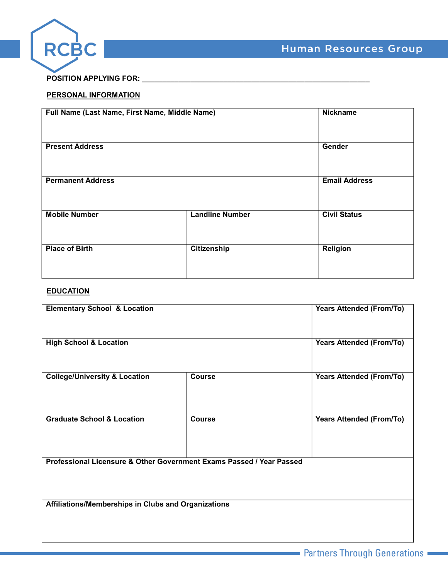



**POSITION APPLYING FOR: \_\_\_\_\_\_\_\_\_\_\_\_\_\_\_\_\_\_\_\_\_\_\_\_\_\_\_\_\_\_\_\_\_\_\_\_\_\_\_\_\_\_\_\_\_\_\_\_\_\_\_\_\_\_\_\_**

## **PERSONAL INFORMATION**

| Full Name (Last Name, First Name, Middle Name) |                        | <b>Nickname</b>      |
|------------------------------------------------|------------------------|----------------------|
| <b>Present Address</b>                         |                        | Gender               |
| <b>Permanent Address</b>                       |                        | <b>Email Address</b> |
| <b>Mobile Number</b>                           | <b>Landline Number</b> | <b>Civil Status</b>  |
| <b>Place of Birth</b>                          | Citizenship            | <b>Religion</b>      |

### **EDUCATION**

| <b>Elementary School &amp; Location</b>                              |               | <b>Years Attended (From/To)</b> |
|----------------------------------------------------------------------|---------------|---------------------------------|
| <b>High School &amp; Location</b>                                    |               | <b>Years Attended (From/To)</b> |
| <b>College/University &amp; Location</b>                             | <b>Course</b> | <b>Years Attended (From/To)</b> |
| <b>Graduate School &amp; Location</b>                                | <b>Course</b> | <b>Years Attended (From/To)</b> |
| Professional Licensure & Other Government Exams Passed / Year Passed |               |                                 |
| Affiliations/Memberships in Clubs and Organizations                  |               |                                 |
|                                                                      |               |                                 |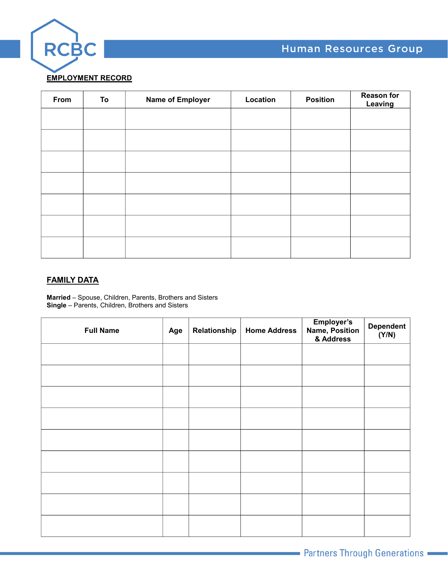

**Human Resources Group** 

#### **EMPLOYMENT RECORD**

| From | To | <b>Name of Employer</b> | Location | <b>Position</b> | <b>Reason for</b><br>Leaving |
|------|----|-------------------------|----------|-----------------|------------------------------|
|      |    |                         |          |                 |                              |
|      |    |                         |          |                 |                              |
|      |    |                         |          |                 |                              |
|      |    |                         |          |                 |                              |
|      |    |                         |          |                 |                              |
|      |    |                         |          |                 |                              |
|      |    |                         |          |                 |                              |

# **FAMILY DATA**

**Married** – Spouse, Children, Parents, Brothers and Sisters **Single** – Parents, Children, Brothers and Sisters

| <b>Full Name</b> | Age | Relationship | <b>Home Address</b> | Employer's<br>Name, Position<br>& Address | Dependent<br>(Y/N) |
|------------------|-----|--------------|---------------------|-------------------------------------------|--------------------|
|                  |     |              |                     |                                           |                    |
|                  |     |              |                     |                                           |                    |
|                  |     |              |                     |                                           |                    |
|                  |     |              |                     |                                           |                    |
|                  |     |              |                     |                                           |                    |
|                  |     |              |                     |                                           |                    |
|                  |     |              |                     |                                           |                    |
|                  |     |              |                     |                                           |                    |
|                  |     |              |                     |                                           |                    |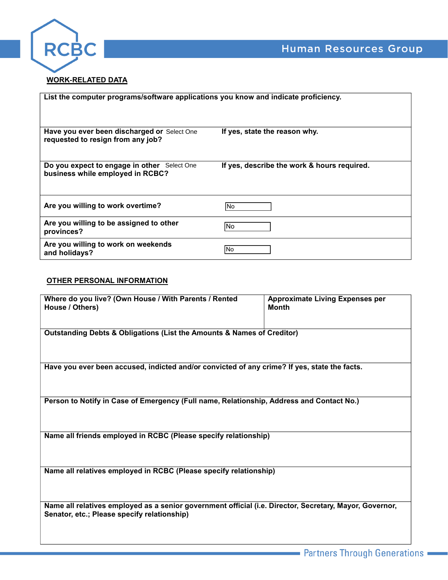

#### **WORK-RELATED DATA**

| List the computer programs/software applications you know and indicate proficiency. |                                             |
|-------------------------------------------------------------------------------------|---------------------------------------------|
| Have you ever been discharged or Select One<br>requested to resign from any job?    | If yes, state the reason why.               |
| Do you expect to engage in other Select One<br>business while employed in RCBC?     | If yes, describe the work & hours required. |
| Are you willing to work overtime?                                                   | No                                          |
| Are you willing to be assigned to other<br>provinces?                               | lNo.                                        |
| Are you willing to work on weekends<br>and holidays?                                | lNo.                                        |

# **OTHER PERSONAL INFORMATION**

| Where do you live? (Own House / With Parents / Rented<br>House / Others)                                                                               | <b>Approximate Living Expenses per</b><br><b>Month</b> |
|--------------------------------------------------------------------------------------------------------------------------------------------------------|--------------------------------------------------------|
| Outstanding Debts & Obligations (List the Amounts & Names of Creditor)                                                                                 |                                                        |
| Have you ever been accused, indicted and/or convicted of any crime? If yes, state the facts.                                                           |                                                        |
| Person to Notify in Case of Emergency (Full name, Relationship, Address and Contact No.)                                                               |                                                        |
| Name all friends employed in RCBC (Please specify relationship)                                                                                        |                                                        |
| Name all relatives employed in RCBC (Please specify relationship)                                                                                      |                                                        |
| Name all relatives employed as a senior government official (i.e. Director, Secretary, Mayor, Governor,<br>Senator, etc.; Please specify relationship) |                                                        |